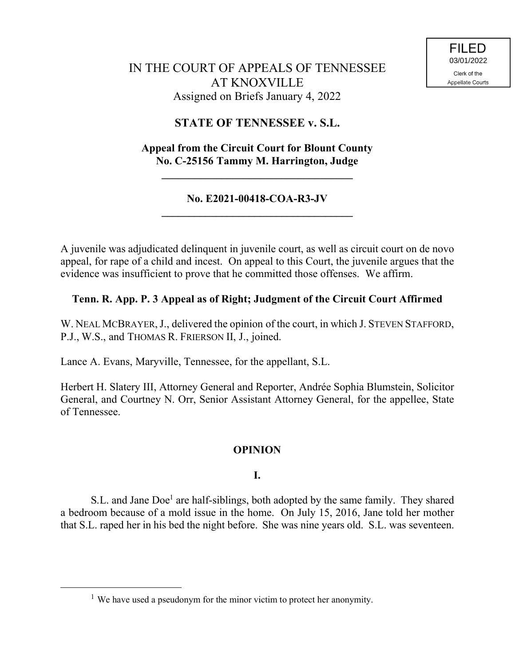# IN THE COURT OF APPEALS OF TENNESSEE AT KNOXVILLE Assigned on Briefs January 4, 2022

# **STATE OF TENNESSEE v. S.L.**

# **Appeal from the Circuit Court for Blount County No. C-25156 Tammy M. Harrington, Judge**

**\_\_\_\_\_\_\_\_\_\_\_\_\_\_\_\_\_\_\_\_\_\_\_\_\_\_\_\_\_\_\_\_\_\_\_**

### **No. E2021-00418-COA-R3-JV \_\_\_\_\_\_\_\_\_\_\_\_\_\_\_\_\_\_\_\_\_\_\_\_\_\_\_\_\_\_\_\_\_\_\_**

A juvenile was adjudicated delinquent in juvenile court, as well as circuit court on de novo appeal, for rape of a child and incest. On appeal to this Court, the juvenile argues that the evidence was insufficient to prove that he committed those offenses. We affirm.

# **Tenn. R. App. P. 3 Appeal as of Right; Judgment of the Circuit Court Affirmed**

W. NEAL MCBRAYER, J., delivered the opinion of the court, in which J. STEVEN STAFFORD, P.J., W.S., and THOMAS R. FRIERSON II, J., joined.

Lance A. Evans, Maryville, Tennessee, for the appellant, S.L.

Herbert H. Slatery III, Attorney General and Reporter, Andrée Sophia Blumstein, Solicitor General, and Courtney N. Orr, Senior Assistant Attorney General, for the appellee, State of Tennessee.

### **OPINION**

### **I.**

S.L. and Jane Doe<sup>1</sup> are half-siblings, both adopted by the same family. They shared a bedroom because of a mold issue in the home. On July 15, 2016, Jane told her mother that S.L. raped her in his bed the night before. She was nine years old. S.L. was seventeen.

<sup>&</sup>lt;sup>1</sup> We have used a pseudonym for the minor victim to protect her anonymity.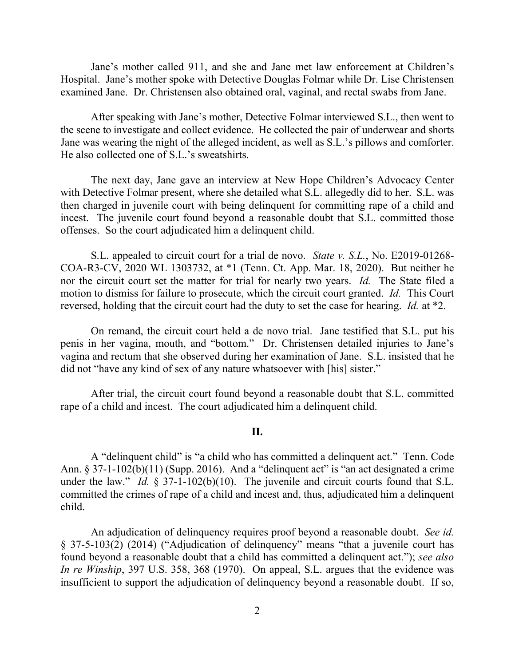Jane's mother called 911, and she and Jane met law enforcement at Children's Hospital. Jane's mother spoke with Detective Douglas Folmar while Dr. Lise Christensen examined Jane. Dr. Christensen also obtained oral, vaginal, and rectal swabs from Jane.

After speaking with Jane's mother, Detective Folmar interviewed S.L., then went to the scene to investigate and collect evidence. He collected the pair of underwear and shorts Jane was wearing the night of the alleged incident, as well as S.L.'s pillows and comforter. He also collected one of S.L.'s sweatshirts.

The next day, Jane gave an interview at New Hope Children's Advocacy Center with Detective Folmar present, where she detailed what S.L. allegedly did to her. S.L. was then charged in juvenile court with being delinquent for committing rape of a child and incest. The juvenile court found beyond a reasonable doubt that S.L. committed those offenses. So the court adjudicated him a delinquent child.

S.L. appealed to circuit court for a trial de novo. *State v. S.L.*, No. E2019-01268- COA-R3-CV, 2020 WL 1303732, at \*1 (Tenn. Ct. App. Mar. 18, 2020). But neither he nor the circuit court set the matter for trial for nearly two years. *Id.* The State filed a motion to dismiss for failure to prosecute, which the circuit court granted. *Id.* This Court reversed, holding that the circuit court had the duty to set the case for hearing. *Id.* at \*2.

On remand, the circuit court held a de novo trial. Jane testified that S.L. put his penis in her vagina, mouth, and "bottom." Dr. Christensen detailed injuries to Jane's vagina and rectum that she observed during her examination of Jane. S.L. insisted that he did not "have any kind of sex of any nature whatsoever with [his] sister."

After trial, the circuit court found beyond a reasonable doubt that S.L. committed rape of a child and incest. The court adjudicated him a delinquent child.

#### **II.**

A "delinquent child" is "a child who has committed a delinquent act." Tenn. Code Ann.  $\S 37-1-102(b)(11)$  (Supp. 2016). And a "delinquent act" is "an act designated a crime under the law." *Id.* § 37-1-102(b)(10). The juvenile and circuit courts found that S.L. committed the crimes of rape of a child and incest and, thus, adjudicated him a delinquent child.

An adjudication of delinquency requires proof beyond a reasonable doubt. *See id.* § 37-5-103(2) (2014) ("Adjudication of delinquency" means "that a juvenile court has found beyond a reasonable doubt that a child has committed a delinquent act."); *see also In re Winship*, 397 U.S. 358, 368 (1970). On appeal, S.L. argues that the evidence was insufficient to support the adjudication of delinquency beyond a reasonable doubt. If so,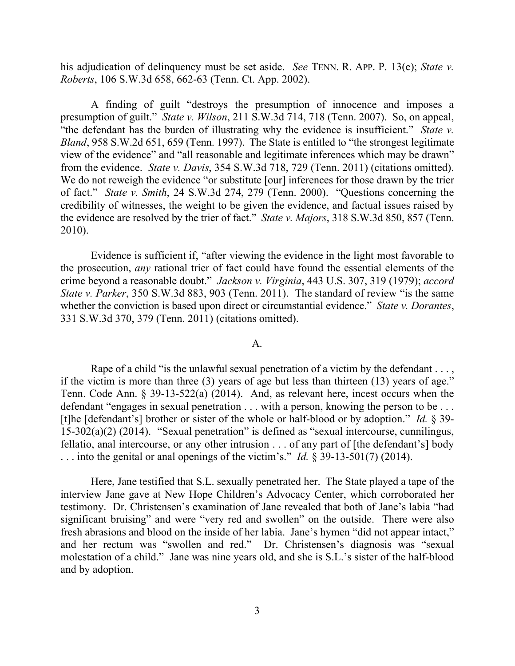his adjudication of delinquency must be set aside. *See* TENN. R. APP. P. 13(e); *State v. Roberts*, 106 S.W.3d 658, 662-63 (Tenn. Ct. App. 2002).

A finding of guilt "destroys the presumption of innocence and imposes a presumption of guilt." *State v. Wilson*, 211 S.W.3d 714, 718 (Tenn. 2007). So, on appeal, "the defendant has the burden of illustrating why the evidence is insufficient." *State v. Bland*, 958 S.W.2d 651, 659 (Tenn. 1997). The State is entitled to "the strongest legitimate view of the evidence" and "all reasonable and legitimate inferences which may be drawn" from the evidence. *State v. Davis*, 354 S.W.3d 718, 729 (Tenn. 2011) (citations omitted). We do not reweigh the evidence "or substitute [our] inferences for those drawn by the trier of fact." *State v. Smith*, 24 S.W.3d 274, 279 (Tenn. 2000). "Questions concerning the credibility of witnesses, the weight to be given the evidence, and factual issues raised by the evidence are resolved by the trier of fact." *State v. Majors*, 318 S.W.3d 850, 857 (Tenn. 2010).

Evidence is sufficient if, "after viewing the evidence in the light most favorable to the prosecution, *any* rational trier of fact could have found the essential elements of the crime beyond a reasonable doubt." *Jackson v. Virginia*, 443 U.S. 307, 319 (1979); *accord State v. Parker*, 350 S.W.3d 883, 903 (Tenn. 2011). The standard of review "is the same whether the conviction is based upon direct or circumstantial evidence." *State v. Dorantes*, 331 S.W.3d 370, 379 (Tenn. 2011) (citations omitted).

#### A.

Rape of a child "is the unlawful sexual penetration of a victim by the defendant . . . , if the victim is more than three (3) years of age but less than thirteen (13) years of age." Tenn. Code Ann. § 39-13-522(a) (2014). And, as relevant here, incest occurs when the defendant "engages in sexual penetration . . . with a person, knowing the person to be . . . [t]he [defendant's] brother or sister of the whole or half-blood or by adoption." *Id.* § 39- 15-302(a)(2) (2014). "Sexual penetration" is defined as "sexual intercourse, cunnilingus, fellatio, anal intercourse, or any other intrusion . . . of any part of [the defendant's] body . . . into the genital or anal openings of the victim's." *Id.* § 39-13-501(7) (2014).

Here, Jane testified that S.L. sexually penetrated her. The State played a tape of the interview Jane gave at New Hope Children's Advocacy Center, which corroborated her testimony. Dr. Christensen's examination of Jane revealed that both of Jane's labia "had significant bruising" and were "very red and swollen" on the outside. There were also fresh abrasions and blood on the inside of her labia. Jane's hymen "did not appear intact," and her rectum was "swollen and red." Dr. Christensen's diagnosis was "sexual molestation of a child." Jane was nine years old, and she is S.L.'s sister of the half-blood and by adoption.